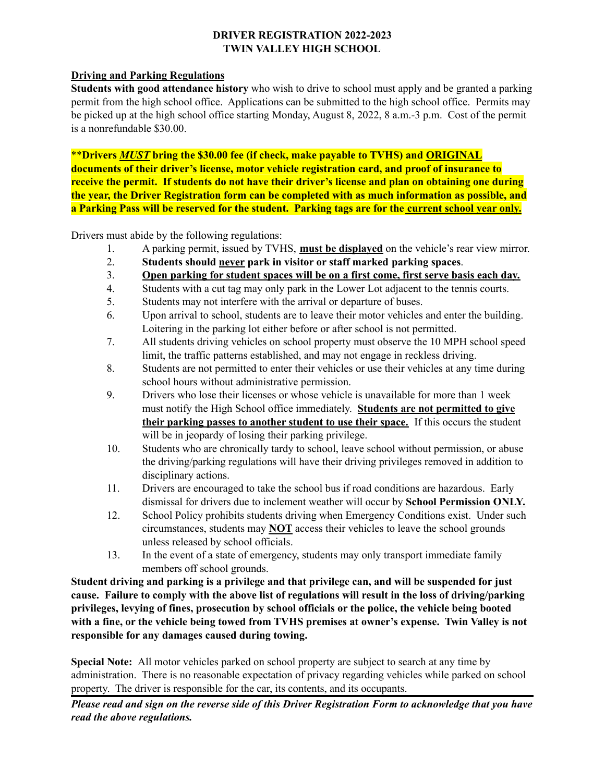## **DRIVER REGISTRATION 2022-2023 TWIN VALLEY HIGH SCHOOL**

## **Driving and Parking Regulations**

**Students with good attendance history** who wish to drive to school must apply and be granted a parking permit from the high school office. Applications can be submitted to the high school office. Permits may be picked up at the high school office starting Monday, August 8, 2022, 8 a.m.-3 p.m. Cost of the permit is a nonrefundable \$30.00.

\*\***Drivers** *MUST* **bring the \$30.00 fee (if check, make payable to TVHS) and ORIGINAL documents of their driver's license, motor vehicle registration card, and proof of insurance to receive the permit. If students do not have their driver's license and plan on obtaining one during the year, the Driver Registration form can be completed with as much information as possible, and** a Parking Pass will be reserved for the student. Parking tags are for the current school year only.

Drivers must abide by the following regulations:

- 1. A parking permit, issued by TVHS, **must be displayed** on the vehicle's rear view mirror.
- 2. **Students should never park in visitor or staff marked parking spaces**.
- 3. **Open parking for student spaces will be on a first come, first serve basis each day.**
- 4. Students with a cut tag may only park in the Lower Lot adjacent to the tennis courts.
- 5. Students may not interfere with the arrival or departure of buses.
- 6. Upon arrival to school, students are to leave their motor vehicles and enter the building. Loitering in the parking lot either before or after school is not permitted.
- 7. All students driving vehicles on school property must observe the 10 MPH school speed limit, the traffic patterns established, and may not engage in reckless driving.
- 8. Students are not permitted to enter their vehicles or use their vehicles at any time during school hours without administrative permission.
- 9. Drivers who lose their licenses or whose vehicle is unavailable for more than 1 week must notify the High School office immediately. **Students are not permitted to give their parking passes to another student to use their space.** If this occurs the student will be in jeopardy of losing their parking privilege.
- 10. Students who are chronically tardy to school, leave school without permission, or abuse the driving/parking regulations will have their driving privileges removed in addition to disciplinary actions.
- 11. Drivers are encouraged to take the school bus if road conditions are hazardous. Early dismissal for drivers due to inclement weather will occur by **School Permission ONLY.**
- 12. School Policy prohibits students driving when Emergency Conditions exist. Under such circumstances, students may **NOT** access their vehicles to leave the school grounds unless released by school officials.
- 13. In the event of a state of emergency, students may only transport immediate family members off school grounds.

**Student driving and parking is a privilege and that privilege can, and will be suspended for just cause. Failure to comply with the above list of regulations will result in the loss of driving/parking privileges, levying of fines, prosecution by school officials or the police, the vehicle being booted with a fine, or the vehicle being towed from TVHS premises at owner's expense. Twin Valley is not responsible for any damages caused during towing.**

**Special Note:** All motor vehicles parked on school property are subject to search at any time by administration. There is no reasonable expectation of privacy regarding vehicles while parked on school property. The driver is responsible for the car, its contents, and its occupants.

Please read and sign on the reverse side of this Driver Registration Form to acknowledge that you have *read the above regulations.*